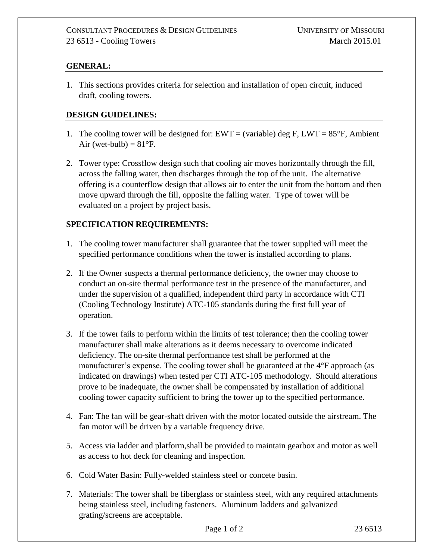## **GENERAL:**

1. This sections provides criteria for selection and installation of open circuit, induced draft, cooling towers.

## **DESIGN GUIDELINES:**

- 1. The cooling tower will be designed for:  $EWT = (variable)$  deg F,  $LWT = 85^{\circ}F$ , Ambient Air (wet-bulb) =  $81^{\circ}$ F.
- 2. Tower type: Crossflow design such that cooling air moves horizontally through the fill, across the falling water, then discharges through the top of the unit. The alternative offering is a counterflow design that allows air to enter the unit from the bottom and then move upward through the fill, opposite the falling water. Type of tower will be evaluated on a project by project basis.

## **SPECIFICATION REQUIREMENTS:**

- 1. The cooling tower manufacturer shall guarantee that the tower supplied will meet the specified performance conditions when the tower is installed according to plans.
- 2. If the Owner suspects a thermal performance deficiency, the owner may choose to conduct an on-site thermal performance test in the presence of the manufacturer, and under the supervision of a qualified, independent third party in accordance with CTI (Cooling Technology Institute) ATC-105 standards during the first full year of operation.
- 3. If the tower fails to perform within the limits of test tolerance; then the cooling tower manufacturer shall make alterations as it deems necessary to overcome indicated deficiency. The on-site thermal performance test shall be performed at the manufacturer's expense. The cooling tower shall be guaranteed at the  $4^{\circ}F$  approach (as indicated on drawings) when tested per CTI ATC-105 methodology. Should alterations prove to be inadequate, the owner shall be compensated by installation of additional cooling tower capacity sufficient to bring the tower up to the specified performance.
- 4. Fan: The fan will be gear-shaft driven with the motor located outside the airstream. The fan motor will be driven by a variable frequency drive.
- 5. Access via ladder and platform,shall be provided to maintain gearbox and motor as well as access to hot deck for cleaning and inspection.
- 6. Cold Water Basin: Fully-welded stainless steel or concete basin.
- 7. Materials: The tower shall be fiberglass or stainless steel, with any required attachments being stainless steel, including fasteners. Aluminum ladders and galvanized grating/screens are acceptable.